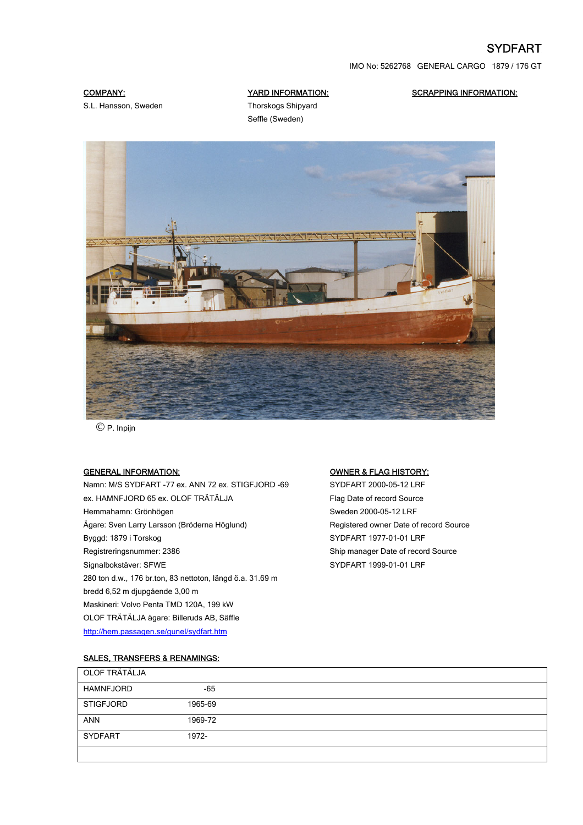# SYDFART

IMO No: 5262768 GENERAL CARGO 1879 / 176 GT

# COMPANY:

S.L. Hansson, Sweden

# YARD INFORMATION:

SCRAPPING INFORMATION:

Thorskogs Shipyard Seffle (Sweden)



© P. Inpijn

#### GENERAL INFORMATION:

Namn: M/S SYDFART -77 ex. ANN 72 ex. STIGFJORD -69 ex. HAMNFJORD 65 ex. OLOF TRÄTÄLJA Hemmahamn: Grönhögen Ägare: Sven Larry Larsson (Bröderna Höglund) Byggd: 1879 i Torskog Registreringsnummer: 2386 Signalbokstäver: SFWE 280 ton d.w., 176 br.ton, 83 nettoton, längd ö.a. 31.69 m bredd 6,52 m djupgående 3,00 m Maskineri: Volvo Penta TMD 120A, 199 kW OLOF TRÄTÄLJA ägare: Billeruds AB, Säffle <http://hem.passagen.se/gunel/sydfart.htm>

#### OWNER & FLAG HISTORY:

SYDFART 2000-05-12 LRF Flag Date of record Source Sweden 2000-05-12 LRF Registered owner Date of record Source SYDFART 1977-01-01 LRF Ship manager Date of record Source SYDFART 1999-01-01 LRF

### SALES, TRANSFERS & RENAMINGS:

| OLOF TRÄTÄLJA    |         |  |
|------------------|---------|--|
| HAMNFJORD        | $-65$   |  |
| <b>STIGFJORD</b> | 1965-69 |  |
| <b>ANN</b>       | 1969-72 |  |
| <b>SYDFART</b>   | 1972-   |  |
|                  |         |  |